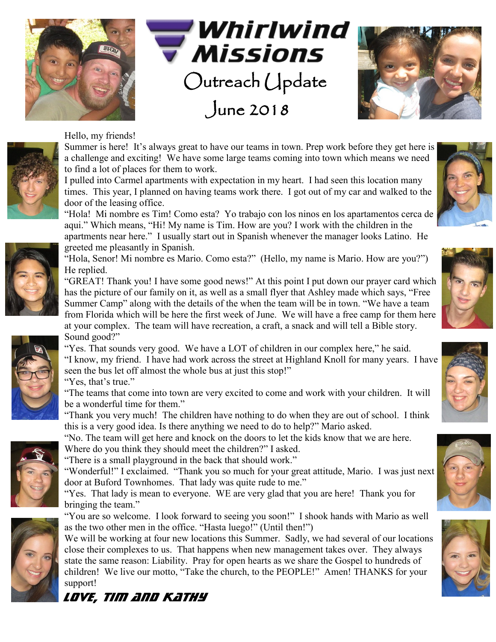





## Hello, my friends!

Summer is here! It's always great to have our teams in town. Prep work before they get here is a challenge and exciting! We have some large teams coming into town which means we need to find a lot of places for them to work.

I pulled into Carmel apartments with expectation in my heart. I had seen this location many times. This year, I planned on having teams work there. I got out of my car and walked to the door of the leasing office.

"Hola! Mi nombre es Tim! Como esta? Yo trabajo con los ninos en los apartamentos cerca de aqui." Which means, "Hi! My name is Tim. How are you? I work with the children in the apartments near here." I usually start out in Spanish whenever the manager looks Latino. He greeted me pleasantly in Spanish.

"Hola, Senor! Mi nombre es Mario. Como esta?" (Hello, my name is Mario. How are you?") He replied.

"GREAT! Thank you! I have some good news!" At this point I put down our prayer card which has the picture of our family on it, as well as a small flyer that Ashley made which says, "Free Summer Camp" along with the details of the when the team will be in town. "We have a team from Florida which will be here the first week of June. We will have a free camp for them here at your complex. The team will have recreation, a craft, a snack and will tell a Bible story. Sound good?"

"Yes. That sounds very good. We have a LOT of children in our complex here," he said. "I know, my friend. I have had work across the street at Highland Knoll for many years. I have seen the bus let off almost the whole bus at just this stop!"

"Yes, that's true."

"The teams that come into town are very excited to come and work with your children. It will be a wonderful time for them."

"Thank you very much! The children have nothing to do when they are out of school. I think this is a very good idea. Is there anything we need to do to help?" Mario asked.

"No. The team will get here and knock on the doors to let the kids know that we are here. Where do you think they should meet the children?" I asked.

"There is a small playground in the back that should work."

"Wonderful!" I exclaimed. "Thank you so much for your great attitude, Mario. I was just next door at Buford Townhomes. That lady was quite rude to me."

"Yes. That lady is mean to everyone. WE are very glad that you are here! Thank you for bringing the team."

"You are so welcome. I look forward to seeing you soon!" I shook hands with Mario as well as the two other men in the office. "Hasta luego!" (Until then!")

We will be working at four new locations this Summer. Sadly, we had several of our locations close their complexes to us. That happens when new management takes over. They always state the same reason: Liability. Pray for open hearts as we share the Gospel to hundreds of children! We live our motto, "Take the church, to the PEOPLE!" Amen! THANKS for your support!











*LOVE, Tim and Kathy*